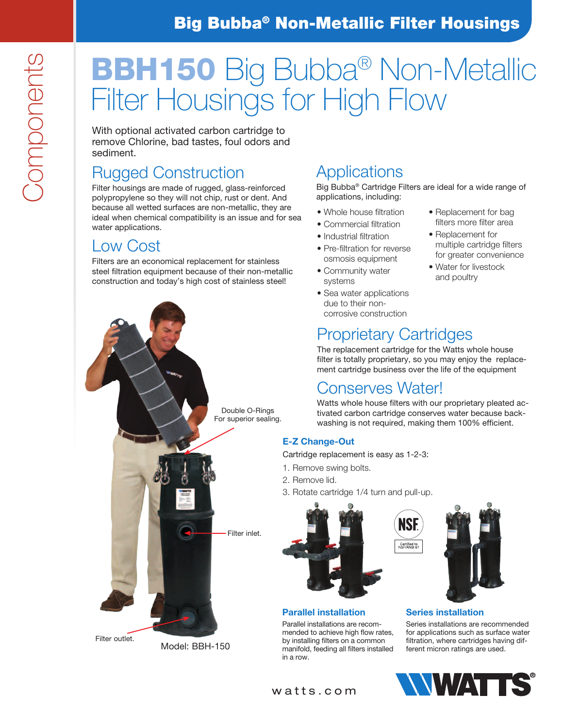# Big Bubba® Non-Metallic Filter Housings

# BBH150 Big Bubba® Non-Metallic Filter Housings for High Flow

With optional activated carbon cartridge to remove Chlorine, bad tastes, foul odors and sediment.

# Rugged Construction

Filter housings are made of rugged, glass-reinforced polypropylene so they will not chip, rust or dent. And because all wetted surfaces are non-metallic, they are ideal when chemical compatibility is an issue and for sea water applications.

### Low Cost

Filters are an economical replacement for stainless steel filtration equipment because of their non-metallic construction and today's high cost of stainless steel!

# **Applications**

Big Bubba® Cartridge Filters are ideal for a wide range of applications, including:

> • Replacement for bag filters more filter area • Replacement for

multiple cartridge filters for greater convenience • Water for livestock and poultry

- Whole house filtration
- Commercial filtration
- Industrial filtration
- Pre-filtration for reverse osmosis equipment
- Community water systems
- Sea water applications due to their noncorrosive construction

## Proprietary Cartridges

The replacement cartridge for the Watts whole house filter is totally proprietary, so you may enjoy the replacement cartridge business over the life of the equipment

### Conserves Water!

Watts whole house filters with our proprietary pleated activated carbon cartridge conserves water because backwashing is not required, making them 100% efficient.

#### E-Z Change-Out

Cartridge replacement is easy as 1-2-3:

- 1. Remove swing bolts.
- 2. Remove lid.
- 3. Rotate cartridge 1/4 turn and pull-up.



#### Parallel installation

Parallel installations are recommended to achieve high flow rates, by installing filters on a common manifold, feeding all filters installed in a row.



#### Series installation

Series installations are recommended for applications such as surface water filtration, where cartridges having different micron ratings are used.